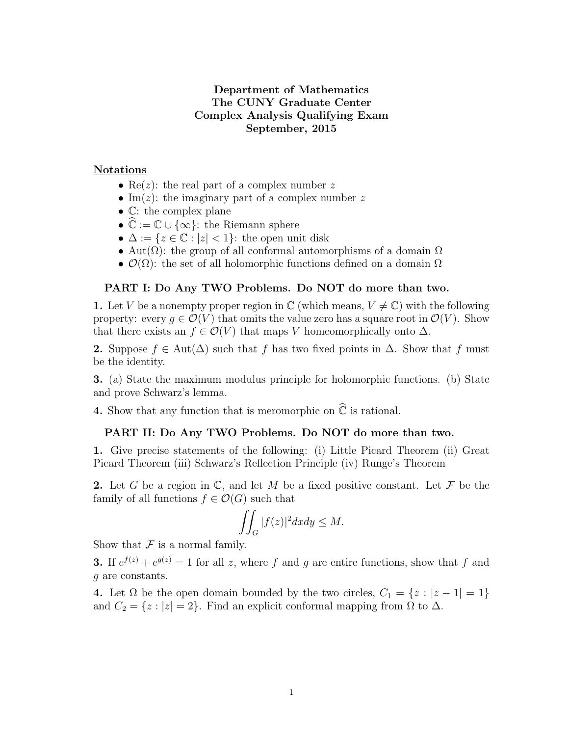# Department of Mathematics The CUNY Graduate Center Complex Analysis Qualifying Exam September, 2015

## Notations

- Re(*z*): the real part of a complex number z
- Im(*z*): the imaginary part of a complex number z
- C: the complex plane
- $\mathbb{C} := \mathbb{C} \cup \{\infty\}$ : the Riemann sphere
- $\Delta := \{z \in \mathbb{C} : |z| < 1\}$ : the open unit disk
- Aut $(\Omega)$ : the group of all conformal automorphisms of a domain  $\Omega$
- $\mathcal{O}(\Omega)$ : the set of all holomorphic functions defined on a domain  $\Omega$

#### PART I: Do Any TWO Problems. Do NOT do more than two.

1. Let V be a nonempty proper region in  $\mathbb C$  (which means,  $V \neq \mathbb C$ ) with the following property: every  $g \in \mathcal{O}(V)$  that omits the value zero has a square root in  $\mathcal{O}(V)$ . Show that there exists an  $f \in \mathcal{O}(V)$  that maps V homeomorphically onto  $\Delta$ .

2. Suppose  $f \in Aut(\Delta)$  such that f has two fixed points in  $\Delta$ . Show that f must be the identity.

3. (a) State the maximum modulus principle for holomorphic functions. (b) State and prove Schwarz's lemma.

4. Show that any function that is meromorphic on  $\hat{\mathbb{C}}$  is rational.

### PART II: Do Any TWO Problems. Do NOT do more than two.

1. Give precise statements of the following: (i) Little Picard Theorem (ii) Great Picard Theorem (iii) Schwarz's Reflection Principle (iv) Runge's Theorem

2. Let G be a region in  $\mathbb{C}$ , and let M be a fixed positive constant. Let F be the family of all functions  $f \in \mathcal{O}(G)$  such that

$$
\iint_G |f(z)|^2 dx dy \le M.
$$

Show that  $\mathcal F$  is a normal family.

**3.** If  $e^{f(z)} + e^{g(z)} = 1$  for all z, where f and g are entire functions, show that f and g are constants.

4. Let  $\Omega$  be the open domain bounded by the two circles,  $C_1 = \{z : |z - 1| = 1\}$ and  $C_2 = \{z : |z| = 2\}$ . Find an explicit conformal mapping from  $\Omega$  to  $\Delta$ .